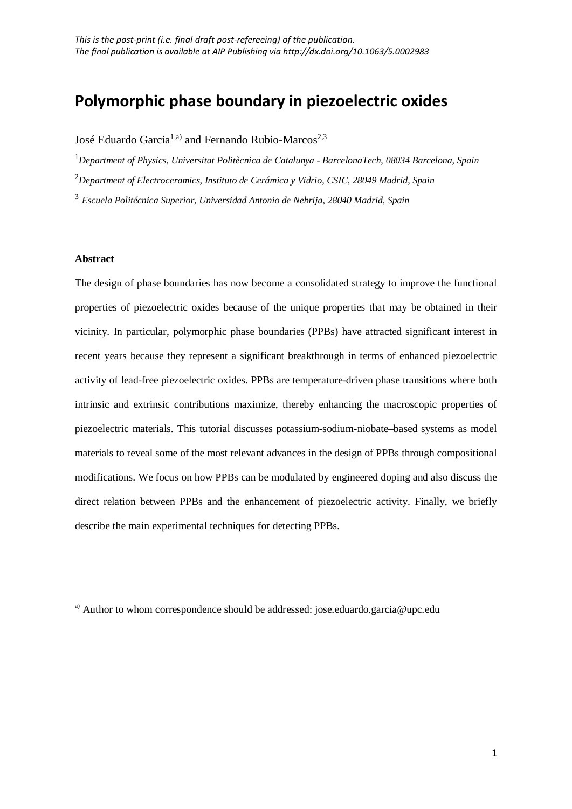# **Polymorphic phase boundary in piezoelectric oxides**

José Eduardo Garcia<sup>1,a)</sup> and Fernando Rubio-Marcos<sup>2,3</sup>

1 *Department of Physics, Universitat Politècnica de Catalunya - BarcelonaTech, 08034 Barcelona, Spain* 2 *Department of Electroceramics, Instituto de Cerámica y Vidrio, CSIC, 28049 Madrid, Spain*

<sup>3</sup> *Escuela Politécnica Superior, Universidad Antonio de Nebrija, 28040 Madrid, Spain*

# **Abstract**

The design of phase boundaries has now become a consolidated strategy to improve the functional properties of piezoelectric oxides because of the unique properties that may be obtained in their vicinity. In particular, polymorphic phase boundaries (PPBs) have attracted significant interest in recent years because they represent a significant breakthrough in terms of enhanced piezoelectric activity of lead-free piezoelectric oxides. PPBs are temperature-driven phase transitions where both intrinsic and extrinsic contributions maximize, thereby enhancing the macroscopic properties of piezoelectric materials. This tutorial discusses potassium-sodium-niobate–based systems as model materials to reveal some of the most relevant advances in the design of PPBs through compositional modifications. We focus on how PPBs can be modulated by engineered doping and also discuss the direct relation between PPBs and the enhancement of piezoelectric activity. Finally, we briefly describe the main experimental techniques for detecting PPBs.

<sup>a)</sup> Author to whom correspondence should be addressed: jose.eduardo.garcia@upc.edu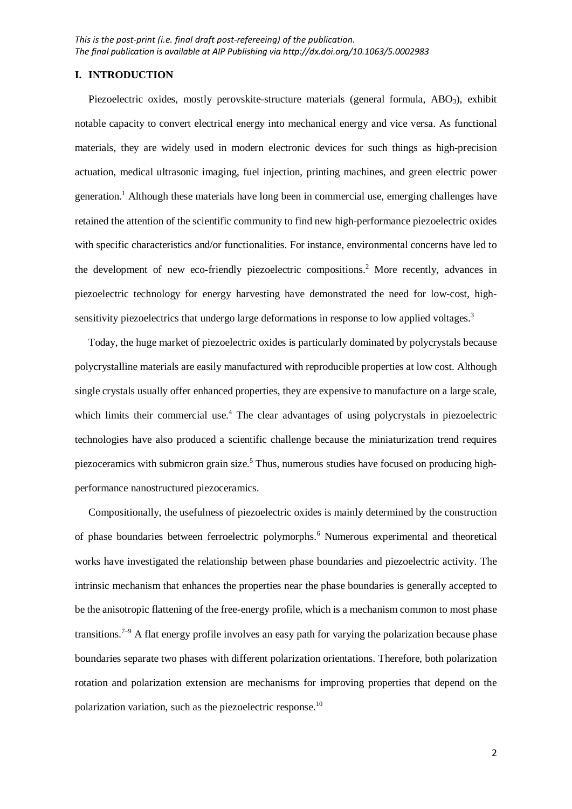## **I. INTRODUCTION**

Piezoelectric oxides, mostly perovskite-structure materials (general formula, ABO<sub>3</sub>), exhibit notable capacity to convert electrical energy into mechanical energy and vice versa. As functional materials, they are widely used in modern electronic devices for such things as high-precision actuation, medical ultrasonic imaging, fuel injection, printing machines, and green electric power generation. <sup>1</sup> Although these materials have long been in commercial use, emerging challenges have retained the attention of the scientific community to find new high-performance piezoelectric oxides with specific characteristics and/or functionalities. For instance, environmental concerns have led to the development of new eco-friendly piezoelectric compositions.<sup>2</sup> More recently, advances in piezoelectric technology for energy harvesting have demonstrated the need for low-cost, highsensitivity piezoelectrics that undergo large deformations in response to low applied voltages.<sup>3</sup>

Today, the huge market of piezoelectric oxides is particularly dominated by polycrystals because polycrystalline materials are easily manufactured with reproducible properties at low cost. Although single crystals usually offer enhanced properties, they are expensive to manufacture on a large scale, which limits their commercial use.<sup>4</sup> The clear advantages of using polycrystals in piezoelectric technologies have also produced a scientific challenge because the miniaturization trend requires piezoceramics with submicron grain size.<sup>5</sup> Thus, numerous studies have focused on producing highperformance nanostructured piezoceramics.

Compositionally, the usefulness of piezoelectric oxides is mainly determined by the construction of phase boundaries between ferroelectric polymorphs. <sup>6</sup> Numerous experimental and theoretical works have investigated the relationship between phase boundaries and piezoelectric activity. The intrinsic mechanism that enhances the properties near the phase boundaries is generally accepted to be the anisotropic flattening of the free-energy profile, which is a mechanism common to most phase transitions.<sup> $7-9$ </sup> A flat energy profile involves an easy path for varying the polarization because phase boundaries separate two phases with different polarization orientations. Therefore, both polarization rotation and polarization extension are mechanisms for improving properties that depend on the polarization variation, such as the piezoelectric response.<sup>10</sup>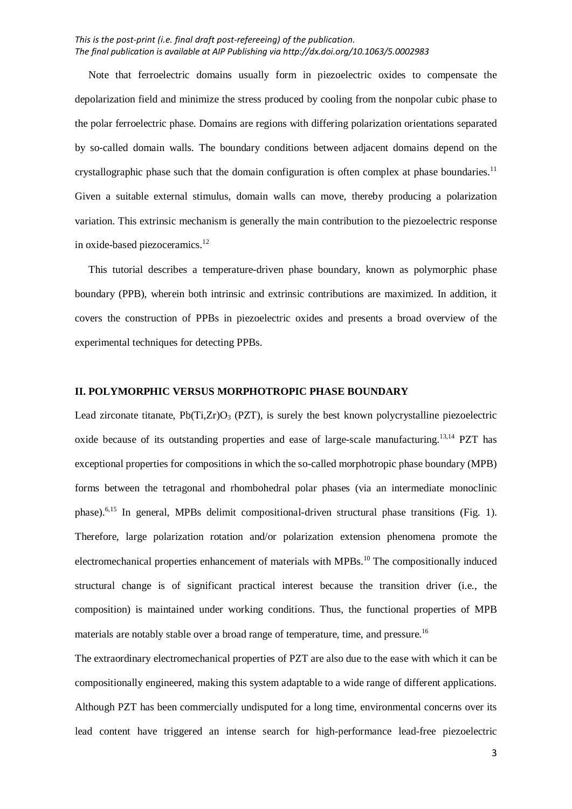Note that ferroelectric domains usually form in piezoelectric oxides to compensate the depolarization field and minimize the stress produced by cooling from the nonpolar cubic phase to the polar ferroelectric phase. Domains are regions with differing polarization orientations separated by so-called domain walls. The boundary conditions between adjacent domains depend on the crystallographic phase such that the domain configuration is often complex at phase boundaries.<sup>11</sup> Given a suitable external stimulus, domain walls can move, thereby producing a polarization variation. This extrinsic mechanism is generally the main contribution to the piezoelectric response in oxide-based piezoceramics.<sup>12</sup>

This tutorial describes a temperature-driven phase boundary, known as polymorphic phase boundary (PPB), wherein both intrinsic and extrinsic contributions are maximized. In addition, it covers the construction of PPBs in piezoelectric oxides and presents a broad overview of the experimental techniques for detecting PPBs.

#### **II. POLYMORPHIC VERSUS MORPHOTROPIC PHASE BOUNDARY**

Lead zirconate titanate,  $Pb(Ti,Zr)O<sub>3</sub>$  (PZT), is surely the best known polycrystalline piezoelectric oxide because of its outstanding properties and ease of large-scale manufacturing.<sup>13,14</sup> PZT has exceptional properties for compositions in which the so-called morphotropic phase boundary (MPB) forms between the tetragonal and rhombohedral polar phases (via an intermediate monoclinic phase).<sup>6,15</sup> In general, MPBs delimit compositional-driven structural phase transitions (Fig. 1). Therefore, large polarization rotation and/or polarization extension phenomena promote the electromechanical properties enhancement of materials with MPBs.<sup>10</sup> The compositionally induced structural change is of significant practical interest because the transition driver (i.e., the composition) is maintained under working conditions. Thus, the functional properties of MPB materials are notably stable over a broad range of temperature, time, and pressure.<sup>16</sup>

The extraordinary electromechanical properties of PZT are also due to the ease with which it can be compositionally engineered, making this system adaptable to a wide range of different applications. Although PZT has been commercially undisputed for a long time, environmental concerns over its lead content have triggered an intense search for high-performance lead-free piezoelectric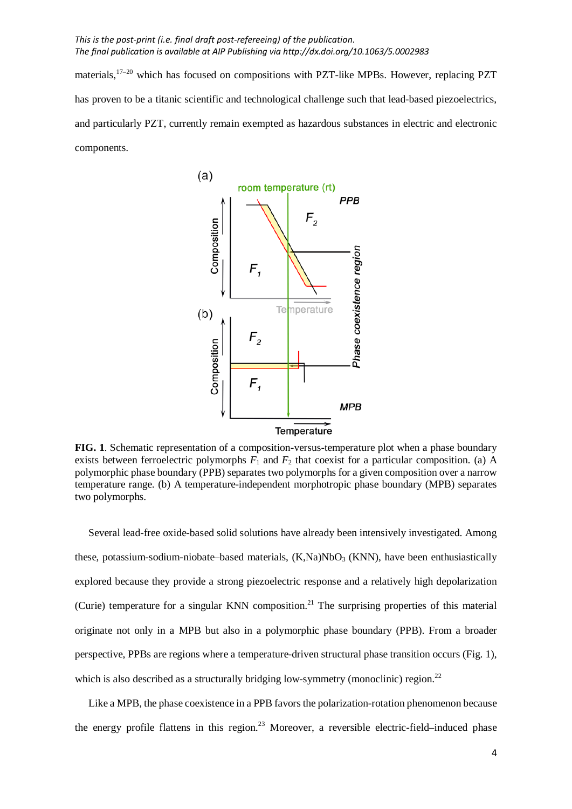materials,<sup>17-20</sup> which has focused on compositions with PZT-like MPBs. However, replacing PZT has proven to be a titanic scientific and technological challenge such that lead-based piezoelectrics, and particularly PZT, currently remain exempted as hazardous substances in electric and electronic components.



**FIG. 1**. Schematic representation of a composition-versus-temperature plot when a phase boundary exists between ferroelectric polymorphs  $F_1$  and  $F_2$  that coexist for a particular composition. (a) A polymorphic phase boundary (PPB) separates two polymorphs for a given composition over a narrow temperature range. (b) A temperature-independent morphotropic phase boundary (MPB) separates two polymorphs.

Several lead-free oxide-based solid solutions have already been intensively investigated. Among these, potassium-sodium-niobate–based materials,  $(K, Na)NbO<sub>3</sub> (KNN)$ , have been enthusiastically explored because they provide a strong piezoelectric response and a relatively high depolarization (Curie) temperature for a singular KNN composition.<sup>21</sup> The surprising properties of this material originate not only in a MPB but also in a polymorphic phase boundary (PPB). From a broader perspective, PPBs are regions where a temperature-driven structural phase transition occurs (Fig. 1), which is also described as a structurally bridging low-symmetry (monoclinic) region.<sup>22</sup>

Like a MPB, the phase coexistence in a PPB favors the polarization-rotation phenomenon because the energy profile flattens in this region.<sup>23</sup> Moreover, a reversible electric-field–induced phase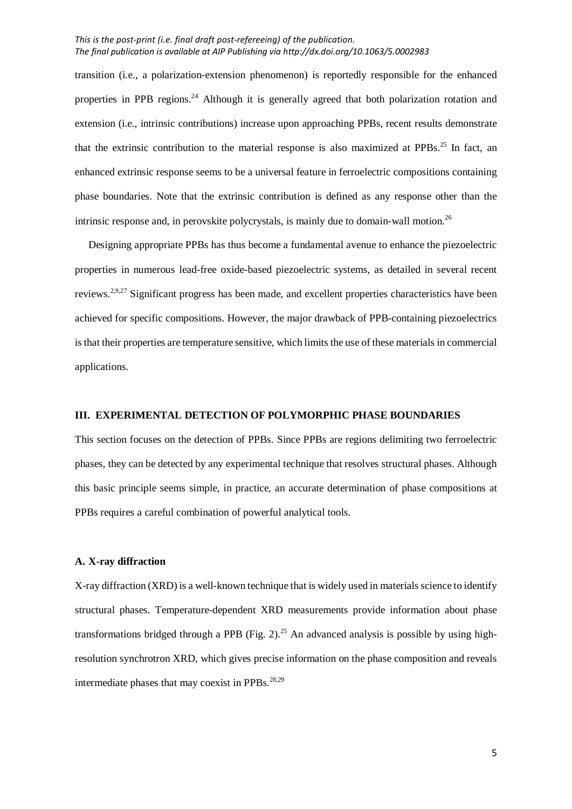transition (i.e., a polarization-extension phenomenon) is reportedly responsible for the enhanced properties in PPB regions.<sup>24</sup> Although it is generally agreed that both polarization rotation and extension (i.e., intrinsic contributions) increase upon approaching PPBs, recent results demonstrate that the extrinsic contribution to the material response is also maximized at PPBs.<sup>25</sup> In fact, an enhanced extrinsic response seems to be a universal feature in ferroelectric compositions containing phase boundaries. Note that the extrinsic contribution is defined as any response other than the intrinsic response and, in perovskite polycrystals, is mainly due to domain-wall motion.<sup>26</sup>

Designing appropriate PPBs has thus become a fundamental avenue to enhance the piezoelectric properties in numerous lead-free oxide-based piezoelectric systems, as detailed in several recent reviews.<sup>2,9,27</sup> Significant progress has been made, and excellent properties characteristics have been achieved for specific compositions. However, the major drawback of PPB-containing piezoelectrics is that their properties are temperature sensitive, which limits the use of these materials in commercial applications.

## **III. EXPERIMENTAL DETECTION OF POLYMORPHIC PHASE BOUNDARIES**

This section focuses on the detection of PPBs. Since PPBs are regions delimiting two ferroelectric phases, they can be detected by any experimental technique that resolves structural phases. Although this basic principle seems simple, in practice, an accurate determination of phase compositions at PPBs requires a careful combination of powerful analytical tools.

# **A. X-ray diffraction**

X-ray diffraction (XRD) is a well-known technique that is widely used in materials science to identify structural phases. Temperature-dependent XRD measurements provide information about phase transformations bridged through a PPB (Fig. 2).<sup>25</sup> An advanced analysis is possible by using highresolution synchrotron XRD, which gives precise information on the phase composition and reveals intermediate phases that may coexist in PPBs. $^{28,29}$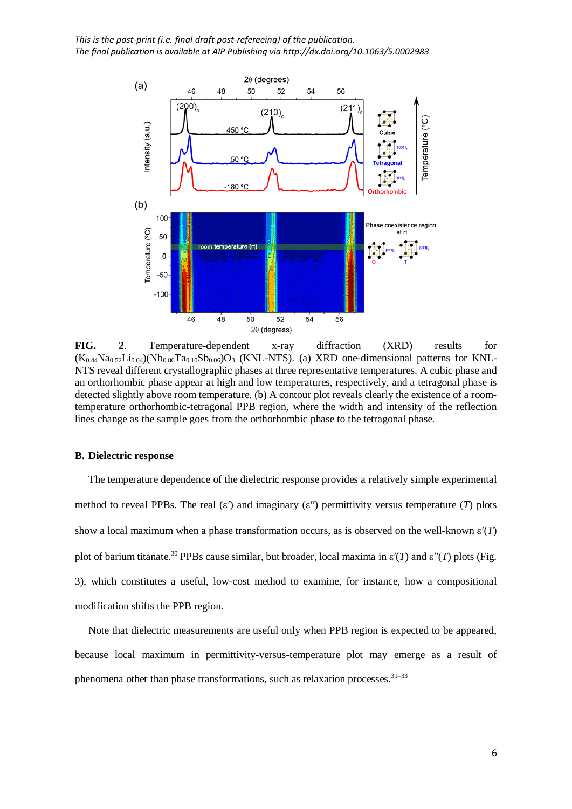

**FIG. 2**. Temperature-dependent x-ray diffraction (XRD) results for  $(K_{0.44}Na_{0.52}Li_{0.04})$ (Nb<sub>0.86</sub>Ta<sub>0.10</sub>Sb<sub>0.06</sub>)O<sub>3</sub> (KNL-NTS). (a) XRD one-dimensional patterns for KNL-NTS reveal different crystallographic phases at three representative temperatures. A cubic phase and an orthorhombic phase appear at high and low temperatures, respectively, and a tetragonal phase is detected slightly above room temperature. (b) A contour plot reveals clearly the existence of a roomtemperature orthorhombic-tetragonal PPB region, where the width and intensity of the reflection lines change as the sample goes from the orthorhombic phase to the tetragonal phase.

## **B. Dielectric response**

The temperature dependence of the dielectric response provides a relatively simple experimental method to reveal PPBs. The real  $(\varepsilon')$  and imaginary  $(\varepsilon'')$  permittivity versus temperature (*T*) plots show a local maximum when a phase transformation occurs, as is observed on the well-known ε′(*T*) plot of barium titanate.<sup>30</sup> PPBs cause similar, but broader, local maxima in ε′(*T*) and ε′′(*T*) plots (Fig. 3), which constitutes a useful, low-cost method to examine, for instance, how a compositional modification shifts the PPB region.

Note that dielectric measurements are useful only when PPB region is expected to be appeared, because local maximum in permittivity-versus-temperature plot may emerge as a result of phenomena other than phase transformations, such as relaxation processes.<sup>31–33</sup>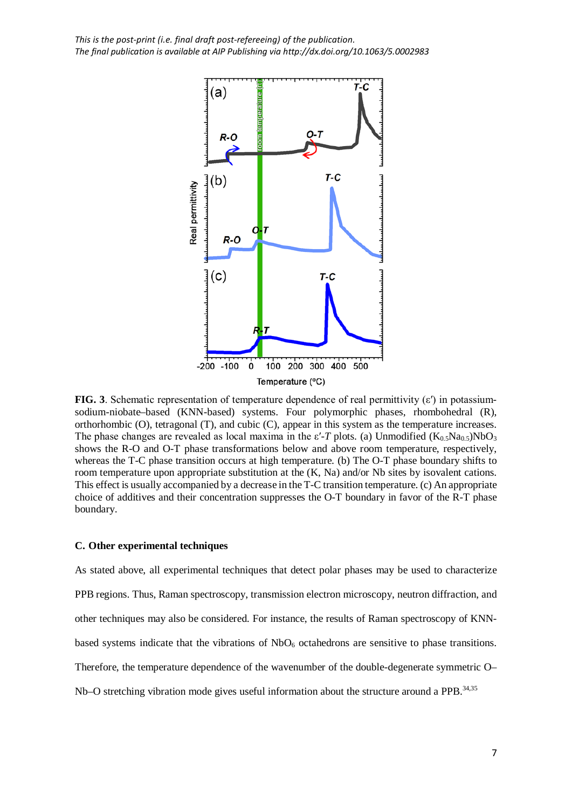

**FIG. 3**. Schematic representation of temperature dependence of real permittivity (ε′) in potassiumsodium-niobate–based (KNN-based) systems. Four polymorphic phases, rhombohedral (R), orthorhombic (O), tetragonal (T), and cubic (C), appear in this system as the temperature increases. The phase changes are revealed as local maxima in the  $\varepsilon$ -*T* plots. (a) Unmodified (K<sub>0.5</sub>Na<sub>0.5</sub>)NbO<sub>3</sub> shows the R-O and O-T phase transformations below and above room temperature, respectively, whereas the T-C phase transition occurs at high temperature. (b) The O-T phase boundary shifts to room temperature upon appropriate substitution at the (K, Na) and/or Nb sites by isovalent cations. This effect is usually accompanied by a decrease in the T-C transition temperature. (c) An appropriate choice of additives and their concentration suppresses the O-T boundary in favor of the R-T phase boundary.

#### **C. Other experimental techniques**

As stated above, all experimental techniques that detect polar phases may be used to characterize PPB regions. Thus, Raman spectroscopy, transmission electron microscopy, neutron diffraction, and other techniques may also be considered. For instance, the results of Raman spectroscopy of KNNbased systems indicate that the vibrations of  $NbO<sub>6</sub>$  octahedrons are sensitive to phase transitions. Therefore, the temperature dependence of the wavenumber of the double-degenerate symmetric O– Nb–O stretching vibration mode gives useful information about the structure around a PPB.<sup>34,35</sup>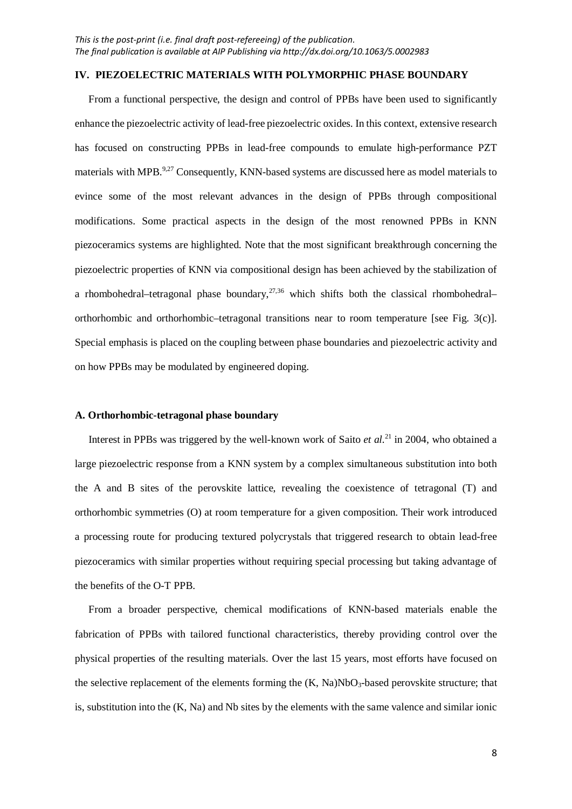### **IV. PIEZOELECTRIC MATERIALS WITH POLYMORPHIC PHASE BOUNDARY**

From a functional perspective, the design and control of PPBs have been used to significantly enhance the piezoelectric activity of lead-free piezoelectric oxides. In this context, extensive research has focused on constructing PPBs in lead-free compounds to emulate high-performance PZT materials with MPB.<sup>9,27</sup> Consequently, KNN-based systems are discussed here as model materials to evince some of the most relevant advances in the design of PPBs through compositional modifications. Some practical aspects in the design of the most renowned PPBs in KNN piezoceramics systems are highlighted. Note that the most significant breakthrough concerning the piezoelectric properties of KNN via compositional design has been achieved by the stabilization of a rhombohedral–tetragonal phase boundary, $27,36$  which shifts both the classical rhombohedral– orthorhombic and orthorhombic–tetragonal transitions near to room temperature [see Fig. 3(c)]. Special emphasis is placed on the coupling between phase boundaries and piezoelectric activity and on how PPBs may be modulated by engineered doping.

## **A. Orthorhombic-tetragonal phase boundary**

Interest in PPBs was triggered by the well-known work of Saito *et al.*<sup>21</sup> in 2004, who obtained a large piezoelectric response from a KNN system by a complex simultaneous substitution into both the A and B sites of the perovskite lattice, revealing the coexistence of tetragonal (T) and orthorhombic symmetries (O) at room temperature for a given composition. Their work introduced a processing route for producing textured polycrystals that triggered research to obtain lead-free piezoceramics with similar properties without requiring special processing but taking advantage of the benefits of the O-T PPB.

From a broader perspective, chemical modifications of KNN-based materials enable the fabrication of PPBs with tailored functional characteristics, thereby providing control over the physical properties of the resulting materials. Over the last 15 years, most efforts have focused on the selective replacement of the elements forming the  $(K, Na)NbO<sub>3</sub>$ -based perovskite structure; that is, substitution into the (K, Na) and Nb sites by the elements with the same valence and similar ionic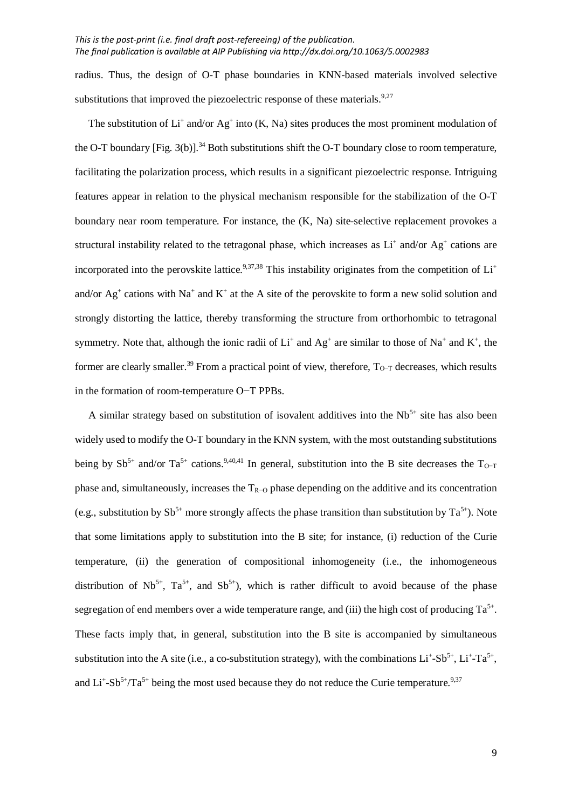radius. Thus, the design of O-T phase boundaries in KNN-based materials involved selective substitutions that improved the piezoelectric response of these materials.  $9.27$ 

The substitution of  $Li^+$  and/or Ag<sup>+</sup> into (K, Na) sites produces the most prominent modulation of the O-T boundary [Fig. 3(b)].<sup>34</sup> Both substitutions shift the O-T boundary close to room temperature, facilitating the polarization process, which results in a significant piezoelectric response. Intriguing features appear in relation to the physical mechanism responsible for the stabilization of the O-T boundary near room temperature. For instance, the (K, Na) site-selective replacement provokes a structural instability related to the tetragonal phase, which increases as  $Li^+$  and/or  $Ag^+$  cations are incorporated into the perovskite lattice.<sup>9,37,38</sup> This instability originates from the competition of  $Li<sup>+</sup>$ and/or  $Ag^+$  cations with Na<sup>+</sup> and K<sup>+</sup> at the A site of the perovskite to form a new solid solution and strongly distorting the lattice, thereby transforming the structure from orthorhombic to tetragonal symmetry. Note that, although the ionic radii of  $Li^+$  and  $Ag^+$  are similar to those of Na<sup>+</sup> and K<sup>+</sup>, the former are clearly smaller.<sup>39</sup> From a practical point of view, therefore,  $T_{O-T}$  decreases, which results in the formation of room-temperature O−T PPBs.

A similar strategy based on substitution of isovalent additives into the  $Nb<sup>5+</sup>$  site has also been widely used to modify the O-T boundary in the KNN system, with the most outstanding substitutions being by  $Sb^{5+}$  and/or  $Ta^{5+}$  cations.<sup>9,40,41</sup> In general, substitution into the B site decreases the  $T_{O-T}$ phase and, simultaneously, increases the TR−O phase depending on the additive and its concentration (e.g., substitution by  $Sb^{5+}$  more strongly affects the phase transition than substitution by  $Ta^{5+}$ ). Note that some limitations apply to substitution into the B site; for instance, (i) reduction of the Curie temperature, (ii) the generation of compositional inhomogeneity (i.e., the inhomogeneous distribution of  $Nb^{5+}$ ,  $Ta^{5+}$ , and  $Sb^{5+}$ ), which is rather difficult to avoid because of the phase segregation of end members over a wide temperature range, and (iii) the high cost of producing  $Ta^{5+}$ . These facts imply that, in general, substitution into the B site is accompanied by simultaneous substitution into the A site (i.e., a co-substitution strategy), with the combinations  $Li^{\text{+}}Sb^{5\text{+}}, Li^{\text{+}}-Ta^{5\text{+}},$ and  $Li^+Sb^{5+}/Ta^{5+}$  being the most used because they do not reduce the Curie temperature.<sup>9,37</sup>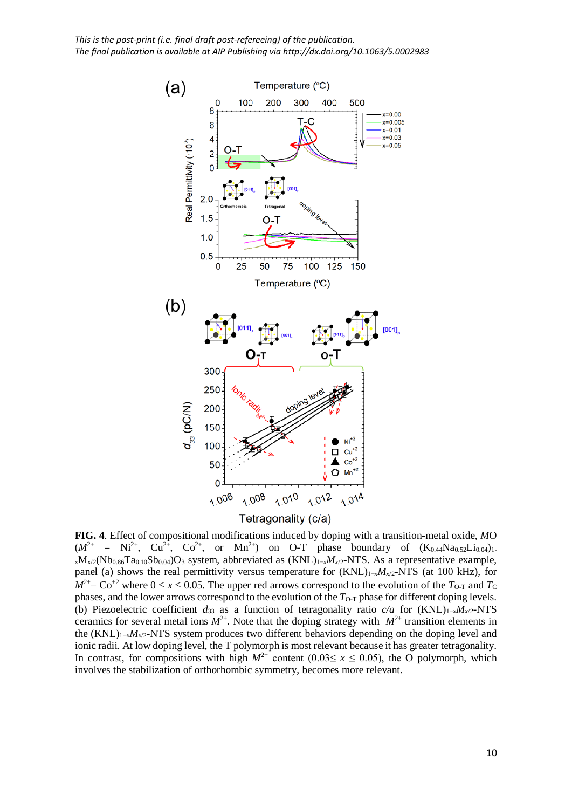

**FIG. 4**. Effect of compositional modifications induced by doping with a transition-metal oxide, *M*O  $(M^{2+} = Ni^{2+}, Cu^{2+}, Co^{2+}, or Mn^{2+})$  on O-T phase boundary of  $(K_{0.44}Na_{0.52}Li_{0.04})_1$ . xMx/2(Nb0.86Ta0.10Sb0.04)O3 system, abbreviated as (KNL)1−*xMx*/2-NTS. As a representative example, panel (a) shows the real permittivity versus temperature for (KNL)<sub>1−*xM<sub>x/2</sub>*-NTS (at 100 kHz), for</sub>  $M^{2+}$  Co<sup>+2</sup> where  $0 \le x \le 0.05$ . The upper red arrows correspond to the evolution of the *T*<sub>O-T</sub> and *T*<sub>C</sub> phases, and the lower arrows correspond to the evolution of the  $T<sub>O-T</sub>$  phase for different doping levels. (b) Piezoelectric coefficient *d*<sup>33</sup> as a function of tetragonality ratio *c/a* for (KNL)1−*xMx*/2-NTS ceramics for several metal ions  $M^{2+}$ . Note that the doping strategy with  $M^{2+}$  transition elements in the (KNL)1−*xMx*/2-NTS system produces two different behaviors depending on the doping level and ionic radii. At low doping level, the T polymorph is most relevant because it has greater tetragonality. In contrast, for compositions with high  $M^{2+}$  content (0.03≤ *x* ≤ 0.05), the O polymorph, which involves the stabilization of orthorhombic symmetry, becomes more relevant.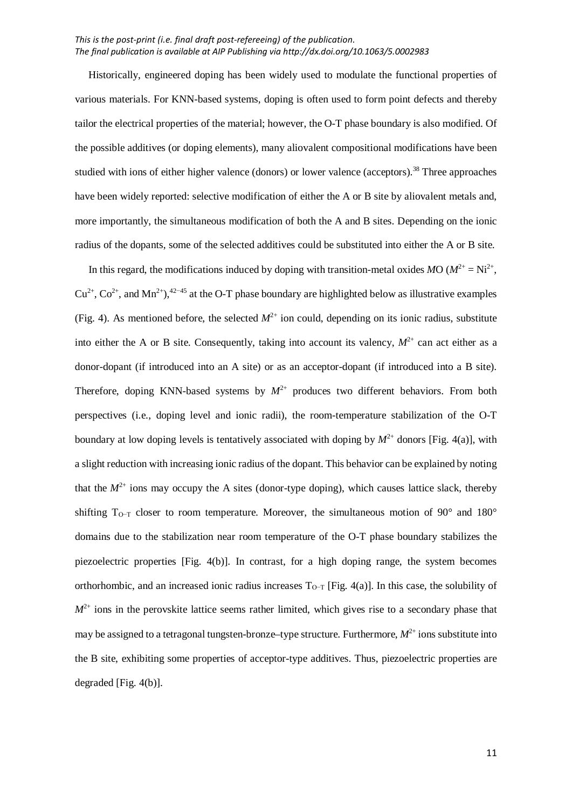Historically, engineered doping has been widely used to modulate the functional properties of various materials. For KNN-based systems, doping is often used to form point defects and thereby tailor the electrical properties of the material; however, the O-T phase boundary is also modified. Of the possible additives (or doping elements), many aliovalent compositional modifications have been studied with ions of either higher valence (donors) or lower valence (acceptors).<sup>38</sup> Three approaches have been widely reported: selective modification of either the A or B site by aliovalent metals and, more importantly, the simultaneous modification of both the A and B sites. Depending on the ionic radius of the dopants, some of the selected additives could be substituted into either the A or B site.

In this regard, the modifications induced by doping with transition-metal oxides *MO* ( $M^{2+} = Ni^{2+}$ ,  $Cu^{2+}$ ,  $Co^{2+}$ , and  $Mn^{2+}$ ,  $42-45$  at the O-T phase boundary are highlighted below as illustrative examples (Fig. 4). As mentioned before, the selected  $M^{2+}$  ion could, depending on its ionic radius, substitute into either the A or B site. Consequently, taking into account its valency,  $M^{2+}$  can act either as a donor-dopant (if introduced into an A site) or as an acceptor-dopant (if introduced into a B site). Therefore, doping KNN-based systems by  $M^{2+}$  produces two different behaviors. From both perspectives (i.e., doping level and ionic radii), the room-temperature stabilization of the O-T boundary at low doping levels is tentatively associated with doping by  $M^{2+}$  donors [Fig. 4(a)], with a slight reduction with increasing ionic radius of the dopant. This behavior can be explained by noting that the  $M^{2+}$  ions may occupy the A sites (donor-type doping), which causes lattice slack, thereby shifting  $T_{Q-T}$  closer to room temperature. Moreover, the simultaneous motion of 90° and 180° domains due to the stabilization near room temperature of the O-T phase boundary stabilizes the piezoelectric properties [Fig. 4(b)]. In contrast, for a high doping range, the system becomes orthorhombic, and an increased ionic radius increases  $T_{O-T}$  [Fig. 4(a)]. In this case, the solubility of  $M^{2+}$  ions in the perovskite lattice seems rather limited, which gives rise to a secondary phase that may be assigned to a tetragonal tungsten-bronze–type structure. Furthermore,  $M^{2+}$  ions substitute into the B site, exhibiting some properties of acceptor-type additives. Thus, piezoelectric properties are degraded [Fig. 4(b)].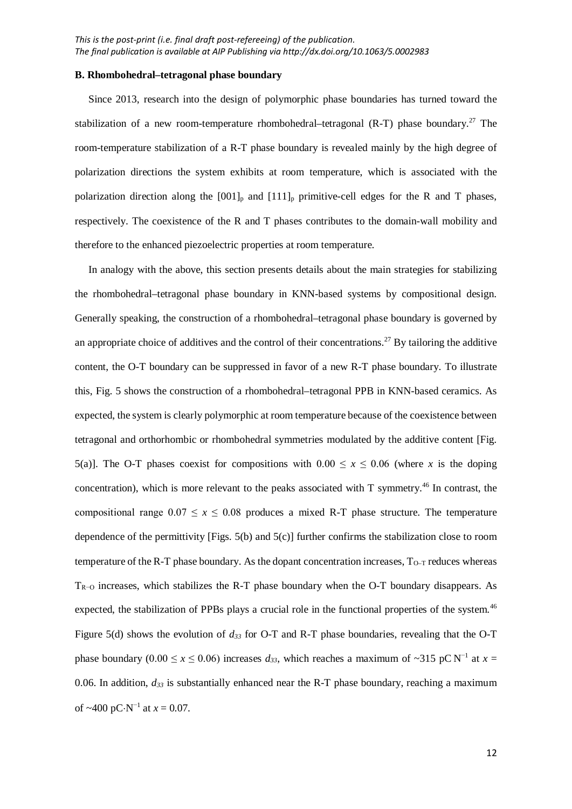#### **B. Rhombohedral–tetragonal phase boundary**

Since 2013, research into the design of polymorphic phase boundaries has turned toward the stabilization of a new room-temperature rhombohedral-tetragonal  $(R-T)$  phase boundary.<sup>27</sup> The room-temperature stabilization of a R-T phase boundary is revealed mainly by the high degree of polarization directions the system exhibits at room temperature, which is associated with the polarization direction along the  $[001]_p$  and  $[111]_p$  primitive-cell edges for the R and T phases, respectively. The coexistence of the R and T phases contributes to the domain-wall mobility and therefore to the enhanced piezoelectric properties at room temperature.

In analogy with the above, this section presents details about the main strategies for stabilizing the rhombohedral–tetragonal phase boundary in KNN-based systems by compositional design. Generally speaking, the construction of a rhombohedral–tetragonal phase boundary is governed by an appropriate choice of additives and the control of their concentrations.<sup>27</sup> By tailoring the additive content, the O-T boundary can be suppressed in favor of a new R-T phase boundary. To illustrate this, Fig. 5 shows the construction of a rhombohedral–tetragonal PPB in KNN-based ceramics. As expected, the system is clearly polymorphic at room temperature because of the coexistence between tetragonal and orthorhombic or rhombohedral symmetries modulated by the additive content [Fig. 5(a)]. The O-T phases coexist for compositions with  $0.00 \le x \le 0.06$  (where *x* is the doping concentration), which is more relevant to the peaks associated with T symmetry.<sup>46</sup> In contrast, the compositional range  $0.07 \le x \le 0.08$  produces a mixed R-T phase structure. The temperature dependence of the permittivity [Figs. 5(b) and 5(c)] further confirms the stabilization close to room temperature of the R-T phase boundary. As the dopant concentration increases,  $T_{Q-T}$  reduces whereas  $T_{R-O}$  increases, which stabilizes the R-T phase boundary when the O-T boundary disappears. As expected, the stabilization of PPBs plays a crucial role in the functional properties of the system.<sup>46</sup> Figure 5(d) shows the evolution of *d33* for O-T and R-T phase boundaries, revealing that the O-T phase boundary (0.00 ≤ *x* ≤ 0.06) increases  $d_{33}$ , which reaches a maximum of ~315 pC N<sup>-1</sup> at *x* = 0.06. In addition,  $d_{33}$  is substantially enhanced near the R-T phase boundary, reaching a maximum of ~400 pC⋅N<sup>-1</sup> at  $x = 0.07$ .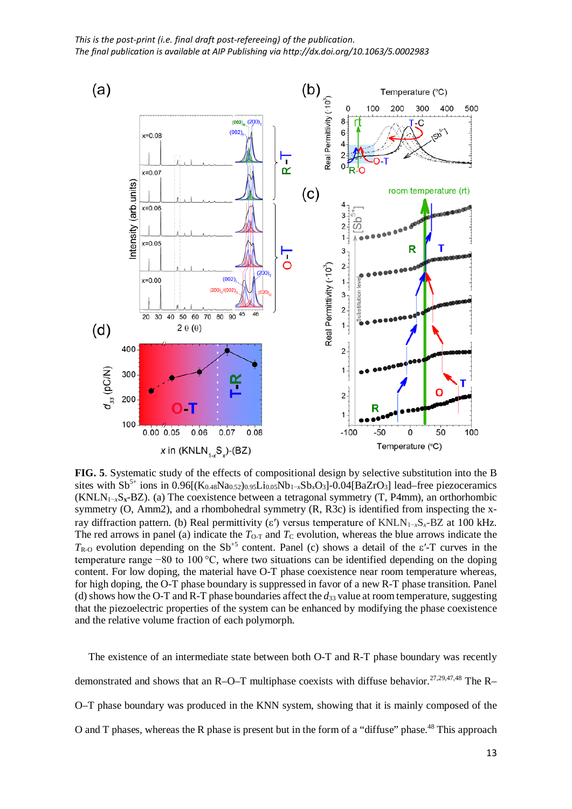

**FIG. 5**. Systematic study of the effects of compositional design by selective substitution into the B sites with  $Sb^{5+}$  ions in 0.96 $[(K_{0.48}Na_{0.52})_{0.95}Li_{0.05}Nb_{1-x}Sb_xO_3]-0.04[BaZrO_3]$  lead–free piezoceramics (KNLN1−*x*S**x**-BZ). (a) The coexistence between a tetragonal symmetry (T, P4mm), an orthorhombic symmetry (O, Amm2), and a rhombohedral symmetry (R, R3c) is identified from inspecting the xray diffraction pattern. (b) Real permittivity (ε′) versus temperature of KNLN1−*x*S*x*-BZ at 100 kHz. The red arrows in panel (a) indicate the  $T_{O-T}$  and  $T_{C}$  evolution, whereas the blue arrows indicate the  $T_{\text{R-}\Omega}$  evolution depending on the Sb<sup>+5</sup> content. Panel (c) shows a detail of the  $\varepsilon$ '-T curves in the temperature range −80 to 100 °C, where two situations can be identified depending on the doping content. For low doping, the material have O-T phase coexistence near room temperature whereas, for high doping, the O-T phase boundary is suppressed in favor of a new R-T phase transition. Panel (d) shows how the O-T and R-T phase boundaries affect the *d*<sup>33</sup> value at room temperature, suggesting that the piezoelectric properties of the system can be enhanced by modifying the phase coexistence and the relative volume fraction of each polymorph.

The existence of an intermediate state between both O-T and R-T phase boundary was recently demonstrated and shows that an R–O–T multiphase coexists with diffuse behavior.<sup>27,29,47,48</sup> The R– O–T phase boundary was produced in the KNN system, showing that it is mainly composed of the O and T phases, whereas the R phase is present but in the form of a "diffuse" phase.<sup>48</sup> This approach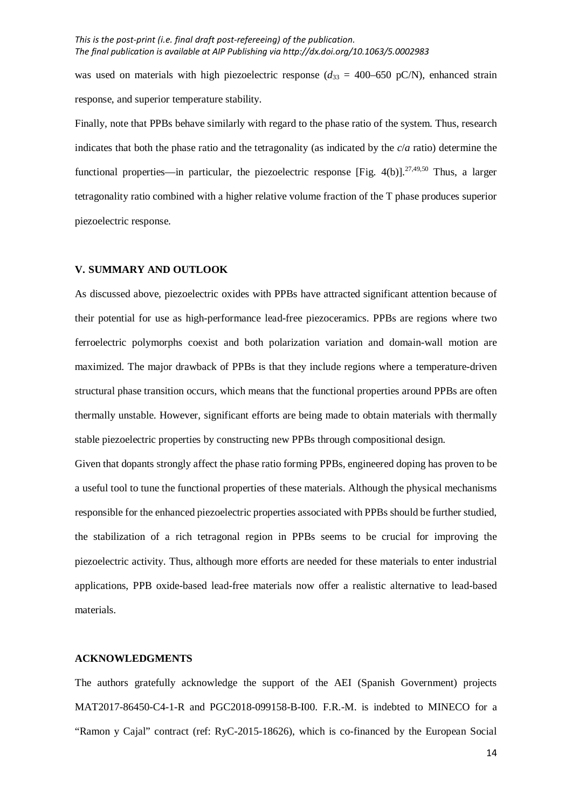was used on materials with high piezoelectric response  $(d_{33} = 400-650 \text{ pC/N})$ , enhanced strain response, and superior temperature stability.

Finally, note that PPBs behave similarly with regard to the phase ratio of the system. Thus, research indicates that both the phase ratio and the tetragonality (as indicated by the *c*/*a* ratio) determine the functional properties—in particular, the piezoelectric response [Fig. 4(b)].<sup>27,49,50</sup> Thus, a larger tetragonality ratio combined with a higher relative volume fraction of the T phase produces superior piezoelectric response.

#### **V. SUMMARY AND OUTLOOK**

As discussed above, piezoelectric oxides with PPBs have attracted significant attention because of their potential for use as high-performance lead-free piezoceramics. PPBs are regions where two ferroelectric polymorphs coexist and both polarization variation and domain-wall motion are maximized. The major drawback of PPBs is that they include regions where a temperature-driven structural phase transition occurs, which means that the functional properties around PPBs are often thermally unstable. However, significant efforts are being made to obtain materials with thermally stable piezoelectric properties by constructing new PPBs through compositional design.

Given that dopants strongly affect the phase ratio forming PPBs, engineered doping has proven to be a useful tool to tune the functional properties of these materials. Although the physical mechanisms responsible for the enhanced piezoelectric properties associated with PPBs should be further studied, the stabilization of a rich tetragonal region in PPBs seems to be crucial for improving the piezoelectric activity. Thus, although more efforts are needed for these materials to enter industrial applications, PPB oxide-based lead-free materials now offer a realistic alternative to lead-based materials.

## **ACKNOWLEDGMENTS**

The authors gratefully acknowledge the support of the AEI (Spanish Government) projects MAT2017-86450-C4-1-R and PGC2018-099158-B-I00. F.R.-M. is indebted to MINECO for a "Ramon y Cajal" contract (ref: RyC-2015-18626), which is co-financed by the European Social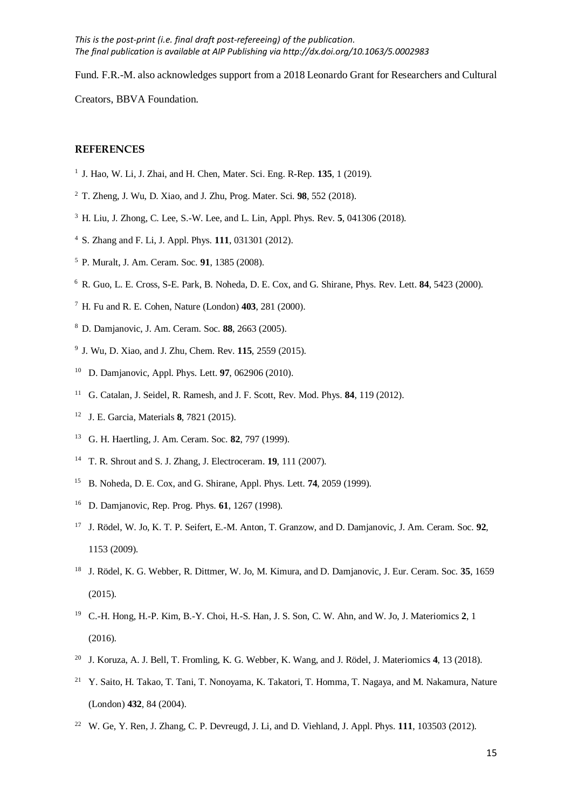Fund. F.R.-M. also acknowledges support from a 2018 Leonardo Grant for Researchers and Cultural

Creators, BBVA Foundation.

## **REFERENCES**

- J. Hao, W. Li, J. Zhai, and H. Chen, Mater. Sci. Eng. R-Rep. **135**, 1 (2019).
- T. Zheng, J. Wu, D. Xiao, and J. Zhu, Prog. Mater. Sci. **98**, 552 (2018).
- H. Liu, J. Zhong, C. Lee, S.-W. Lee, and L. Lin, Appl. Phys. Rev. **5**, 041306 (2018).
- S. Zhang and F. Li, J. Appl. Phys. **111**, 031301 (2012).
- P. Muralt, J. Am. Ceram. Soc. **91**, 1385 (2008).
- R. Guo, L. E. Cross, S-E. Park, B. Noheda, D. E. Cox, and G. Shirane, Phys. Rev. Lett. **84**, 5423 (2000).
- H. Fu and R. E. Cohen, Nature (London) **403**, 281 (2000).
- D. Damjanovic, J. Am. Ceram. Soc. **88**, 2663 (2005).
- J. Wu, D. Xiao, and J. Zhu, Chem. Rev. **115**, 2559 (2015).
- D. Damjanovic, Appl. Phys. Lett. **97**, 062906 (2010).
- G. Catalan, J. Seidel, R. Ramesh, and J. F. Scott, Rev. Mod. Phys. **84**, 119 (2012).
- J. E. Garcia, Materials **8**, 7821 (2015).
- G. H. Haertling, J. Am. Ceram. Soc. **82**, 797 (1999).
- T. R. Shrout and S. J. Zhang, J. Electroceram. **19**, 111 (2007).
- B. Noheda, D. E. Cox, and G. Shirane, Appl. Phys. Lett. **74**, 2059 (1999).
- D. Damjanovic, Rep. Prog. Phys. **61**, 1267 (1998).
- J. Rödel, W. Jo, K. T. P. Seifert, E.-M. Anton, T. Granzow, and D. Damjanovic, J. Am. Ceram. Soc. **92**, 1153 (2009).
- J. Rödel, K. G. Webber, R. Dittmer, W. Jo, M. Kimura, and D. Damjanovic, J. Eur. Ceram. Soc. **35**, 1659 (2015).
- C.-H. Hong, H.-P. Kim, B.-Y. Choi, H.-S. Han, J. S. Son, C. W. Ahn, and W. Jo, J. Materiomics **2**, 1 (2016).
- J. Koruza, A. J. Bell, T. Fromling, K. G. Webber, K. Wang, and J. Rödel, J. Materiomics **4**, 13 (2018).
- <sup>21</sup> Y. Saito, H. Takao, T. Tani, T. Nonoyama, K. Takatori, T. Homma, T. Nagaya, and M. Nakamura, Nature (London) **432**, 84 (2004).
- W. Ge, Y. Ren, J. Zhang, C. P. Devreugd, J. Li, and D. Viehland, J. Appl. Phys. **111**, 103503 (2012).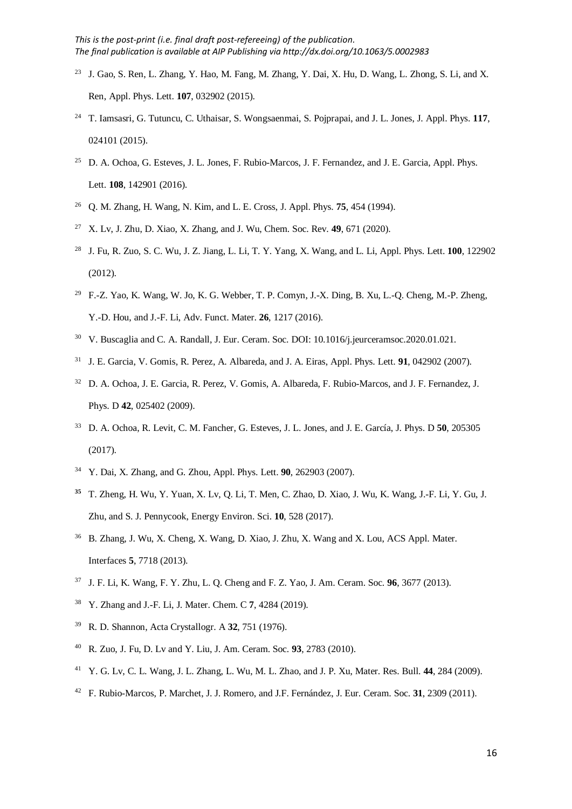- J. Gao, S. Ren, L. Zhang, Y. Hao, M. Fang, M. Zhang, Y. Dai, X. Hu, D. Wang, L. Zhong, S. Li, and X. Ren, Appl. Phys. Lett. **107**, 032902 (2015).
- T. Iamsasri, G. Tutuncu, C. Uthaisar, S. Wongsaenmai, S. Pojprapai, and J. L. Jones, J. Appl. Phys. **117**, 024101 (2015).
- <sup>25</sup> D. A. Ochoa, G. Esteves, J. L. Jones, F. Rubio-Marcos, J. F. Fernandez, and J. E. Garcia, Appl. Phys. Lett. **108**, 142901 (2016).
- Q. M. Zhang, H. Wang, N. Kim, and L. E. Cross, J. Appl. Phys. **75**, 454 (1994).
- X. Lv, J. Zhu, D. Xiao, X. Zhang, and J. Wu, Chem. Soc. Rev. **49**, 671 (2020).
- J. Fu, R. Zuo, S. C. Wu, J. Z. Jiang, L. Li, T. Y. Yang, X. Wang, and L. Li, Appl. Phys. Lett. **100**, 122902 (2012).
- F.-Z. Yao, K. Wang, W. Jo, K. G. Webber, T. P. Comyn, J.-X. Ding, B. Xu, L.-Q. Cheng, M.-P. Zheng, Y.-D. Hou, and J.-F. Li, Adv. Funct. Mater. **26**, 1217 (2016).
- V. Buscaglia and C. A. Randall, J. Eur. Ceram. Soc. DOI: 10.1016/j.jeurceramsoc.2020.01.021.
- J. E. Garcia, V. Gomis, R. Perez, A. Albareda, and J. A. Eiras, Appl. Phys. Lett. **91**, 042902 (2007).
- D. A. Ochoa, J. E. Garcia, R. Perez, V. Gomis, A. Albareda, F. Rubio-Marcos, and J. F. Fernandez, J. Phys. D **42**, 025402 (2009).
- D. A. Ochoa, R. Levit, C. M. Fancher, G. Esteves, J. L. Jones, and J. E. García, J. Phys. D **50**, 205305 (2017).
- Y. Dai, X. Zhang, and G. Zhou, Appl. Phys. Lett. **90**, 262903 (2007).
- T. Zheng, H. Wu, Y. Yuan, X. Lv, Q. Li, T. Men, C. Zhao, D. Xiao, J. Wu, K. Wang, J.-F. Li, Y. Gu, J. Zhu, and S. J. Pennycook, Energy Environ. Sci. **10**, 528 (2017).
- B. Zhang, J. Wu, X. Cheng, X. Wang, D. Xiao, J. Zhu, X. Wang and X. Lou, ACS Appl. Mater. Interfaces **5**, 7718 (2013).
- J. F. Li, K. Wang, F. Y. Zhu, L. Q. Cheng and F. Z. Yao, J. Am. Ceram. Soc. **96**, 3677 (2013).
- Y. Zhang and J.-F. Li, J. Mater. Chem. C **7**, 4284 (2019).
- R. D. Shannon, Acta Crystallogr. A **32**, 751 (1976).
- R. Zuo, J. Fu, D. Lv and Y. Liu, J. Am. Ceram. Soc. **93**, 2783 (2010).
- Y. G. Lv, C. L. Wang, J. L. Zhang, L. Wu, M. L. Zhao, and J. P. Xu, Mater. Res. Bull. **44**, 284 (2009).
- F. Rubio-Marcos, P. Marchet, J. J. Romero, and J.F. Fernández, J. Eur. Ceram. Soc. **31**, 2309 (2011).